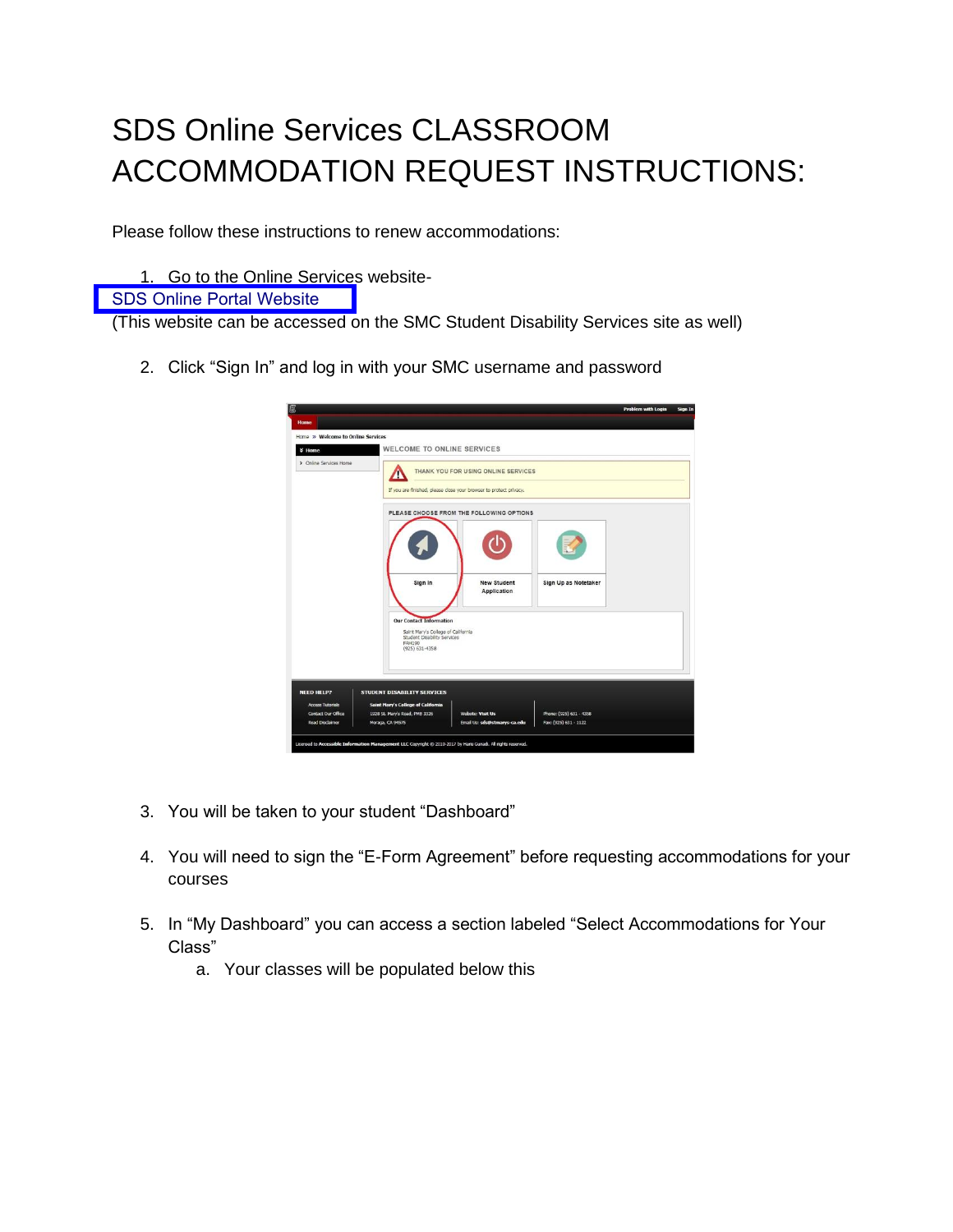## SDS Online Services CLASSROOM ACCOMMODATION REQUEST INSTRUCTIONS:

Please follow these instructions to renew accommodations:

1. Go to the Online Services website-

## [SDS Online Portal Website](https://yukon.accessiblelearning.com/StMarysCA/)

(This website can be accessed on the SMC Student Disability Services site as well)

2. Click "Sign In" and log in with your SMC username and password

| 廖                                                   |                                                                                                                                     |                                                                    |                                                  | <b>Problem with Login</b> | Sign In |
|-----------------------------------------------------|-------------------------------------------------------------------------------------------------------------------------------------|--------------------------------------------------------------------|--------------------------------------------------|---------------------------|---------|
| <b>Home</b>                                         |                                                                                                                                     |                                                                    |                                                  |                           |         |
| Home » Welcome to Online Services                   |                                                                                                                                     |                                                                    |                                                  |                           |         |
| ₹ Home                                              | WELCOME TO ONLINE SERVICES                                                                                                          |                                                                    |                                                  |                           |         |
| > Online Services Home                              |                                                                                                                                     | THANK YOU FOR USING ONLINE SERVICES                                |                                                  |                           |         |
|                                                     |                                                                                                                                     | If you are finished, please close your browser to protect privacy. |                                                  |                           |         |
|                                                     |                                                                                                                                     | PLEASE CHOOSE FROM THE FOLLOWING OPTIONS                           |                                                  |                           |         |
|                                                     |                                                                                                                                     |                                                                    |                                                  |                           |         |
|                                                     | Sign In                                                                                                                             | <b>New Student</b><br>Application                                  | Sign Up as Notetaker                             |                           |         |
|                                                     | <b>Our Contact Information</b><br>Saint Mary's College of California<br>Student Disability Services<br>FAH190<br>$(925) 631 - 4358$ |                                                                    |                                                  |                           |         |
| <b>NEED HELP?</b>                                   | STUDENT DISABILITY SERVICES                                                                                                         |                                                                    |                                                  |                           |         |
| <b>Access Tutorials</b>                             | Saint Mary's College of California                                                                                                  |                                                                    |                                                  |                           |         |
| <b>Contact Our Office</b><br><b>Read Disclaimer</b> | 1928 St. Mary's Road, PMB 3326<br>Moraga, CA 94575                                                                                  | Website: Visit Us<br>Email Us: sds@stmarys-ca.edu                  | Phone: (925) 631 - 4358<br>Fax: (925) 631 - 1122 |                           |         |
|                                                     |                                                                                                                                     |                                                                    |                                                  |                           |         |

- 3. You will be taken to your student "Dashboard"
- 4. You will need to sign the "E-Form Agreement" before requesting accommodations for your courses
- 5. In "My Dashboard" you can access a section labeled "Select Accommodations for Your Class"
	- a. Your classes will be populated below this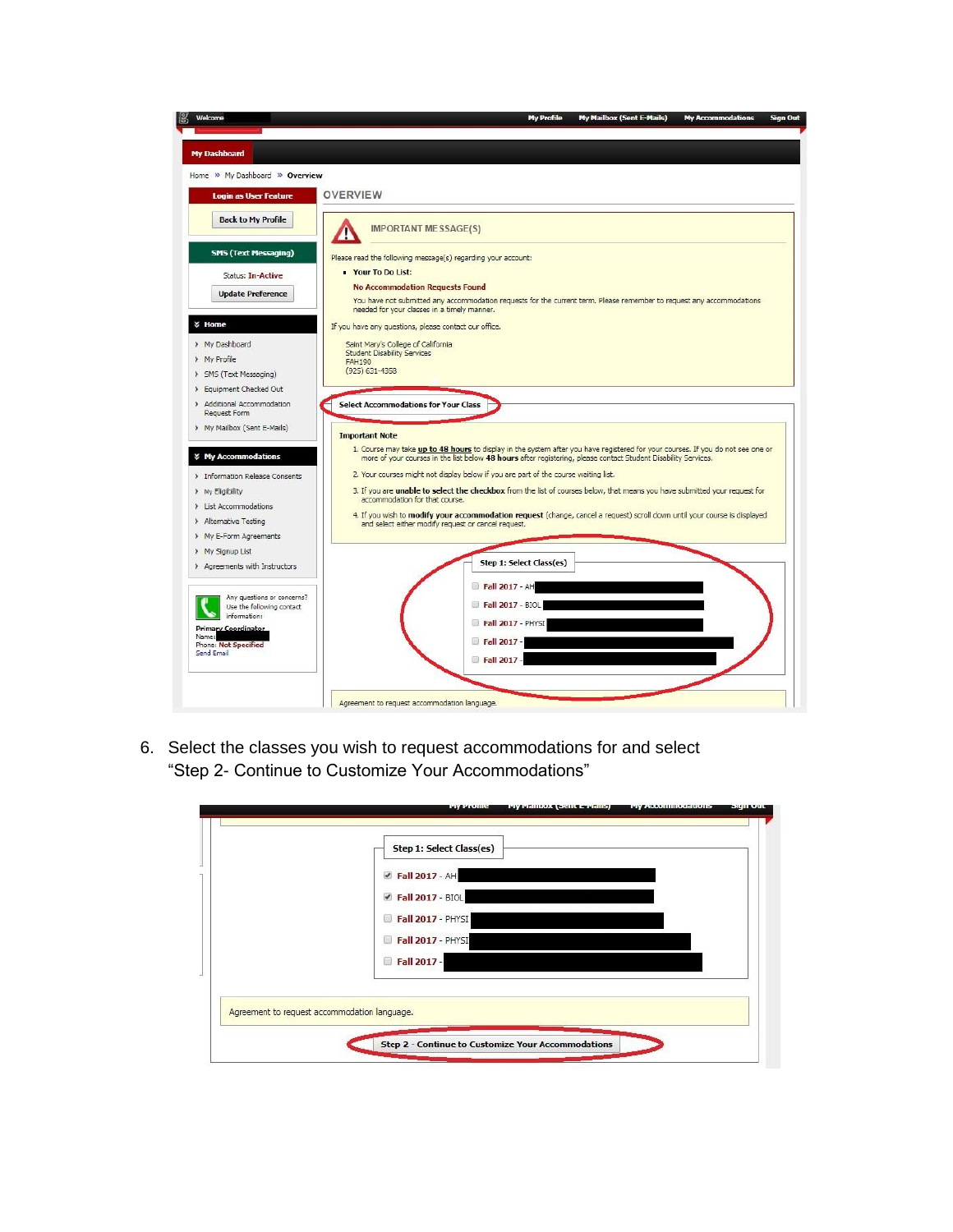

6. Select the classes you wish to request accommodations for and select "Step 2- Continue to Customize Your Accommodations"

| Step 1: Select Class(es)                           |  |  |
|----------------------------------------------------|--|--|
|                                                    |  |  |
| Fall 2017 - AH                                     |  |  |
| Fall 2017 - BIOL                                   |  |  |
| Fall 2017 - PHYSI<br>$\left\vert \cdot\right\vert$ |  |  |
| Fall 2017 - PHYSI                                  |  |  |
| Fall 2017 -                                        |  |  |
|                                                    |  |  |
| Agreement to request accommodation language.       |  |  |
|                                                    |  |  |